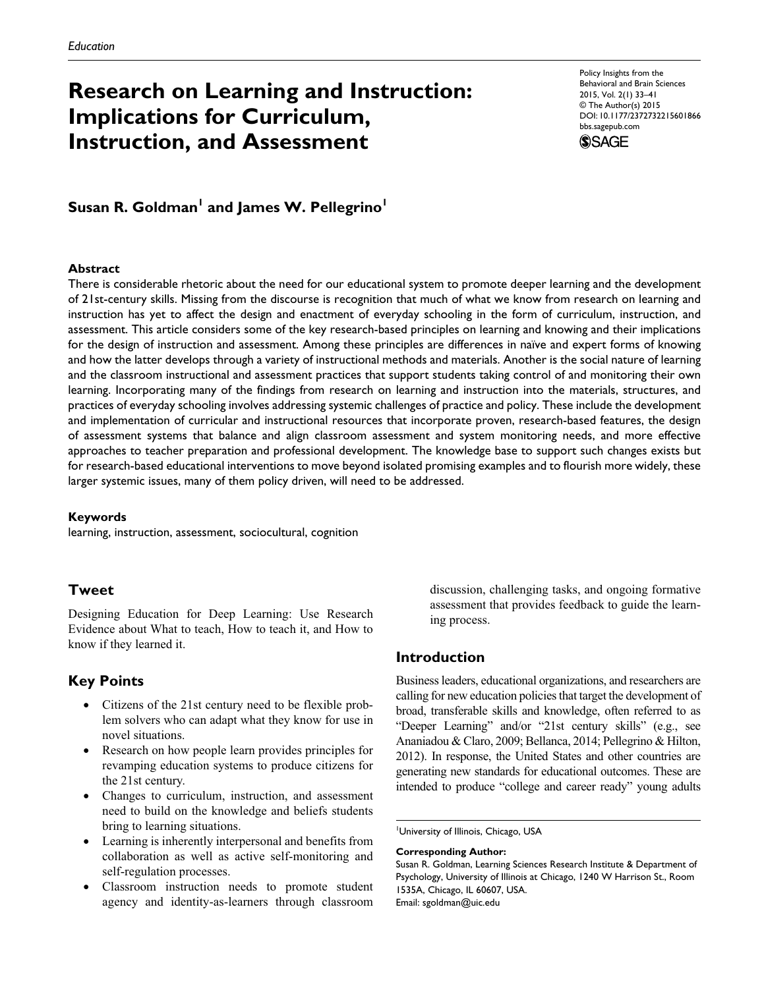# **Research on Learning and Instruction: Implications for Curriculum, Instruction, and Assessment**

Policy Insights from the Behavioral and Brain Sciences 2015, Vol. 2(1) 33–41 © The Author(s) 2015 DOI: 10.1177/2372732215601866 bbs.sagepub.com



 ${\sf Susan\ R.\ Goldman}^{\sf I}$  and James W. Pellegrino<sup>1</sup>

#### **Abstract**

There is considerable rhetoric about the need for our educational system to promote deeper learning and the development of 21st-century skills. Missing from the discourse is recognition that much of what we know from research on learning and instruction has yet to affect the design and enactment of everyday schooling in the form of curriculum, instruction, and assessment. This article considers some of the key research-based principles on learning and knowing and their implications for the design of instruction and assessment. Among these principles are differences in naïve and expert forms of knowing and how the latter develops through a variety of instructional methods and materials. Another is the social nature of learning and the classroom instructional and assessment practices that support students taking control of and monitoring their own learning. Incorporating many of the findings from research on learning and instruction into the materials, structures, and practices of everyday schooling involves addressing systemic challenges of practice and policy. These include the development and implementation of curricular and instructional resources that incorporate proven, research-based features, the design of assessment systems that balance and align classroom assessment and system monitoring needs, and more effective approaches to teacher preparation and professional development. The knowledge base to support such changes exists but for research-based educational interventions to move beyond isolated promising examples and to flourish more widely, these larger systemic issues, many of them policy driven, will need to be addressed.

#### **Keywords**

learning, instruction, assessment, sociocultural, cognition

## **Tweet**

Designing Education for Deep Learning: Use Research Evidence about What to teach, How to teach it, and How to know if they learned it.

# **Key Points**

- Citizens of the 21st century need to be flexible problem solvers who can adapt what they know for use in novel situations.
- Research on how people learn provides principles for revamping education systems to produce citizens for the 21st century.
- Changes to curriculum, instruction, and assessment need to build on the knowledge and beliefs students bring to learning situations.
- Learning is inherently interpersonal and benefits from collaboration as well as active self-monitoring and self-regulation processes.
- Classroom instruction needs to promote student agency and identity-as-learners through classroom

discussion, challenging tasks, and ongoing formative assessment that provides feedback to guide the learning process.

## **Introduction**

Business leaders, educational organizations, and researchers are calling for new education policies that target the development of broad, transferable skills and knowledge, often referred to as "Deeper Learning" and/or "21st century skills" (e.g., see Ananiadou & Claro, 2009; Bellanca, 2014; Pellegrino & Hilton, 2012). In response, the United States and other countries are generating new standards for educational outcomes. These are intended to produce "college and career ready" young adults

#### **Corresponding Author:**

University of Illinois, Chicago, USA

Susan R. Goldman, Learning Sciences Research Institute & Department of Psychology, University of Illinois at Chicago, 1240 W Harrison St., Room 1535A, Chicago, IL 60607, USA. Email: [sgoldman@uic.edu](mailto:sgoldman@uic.edu)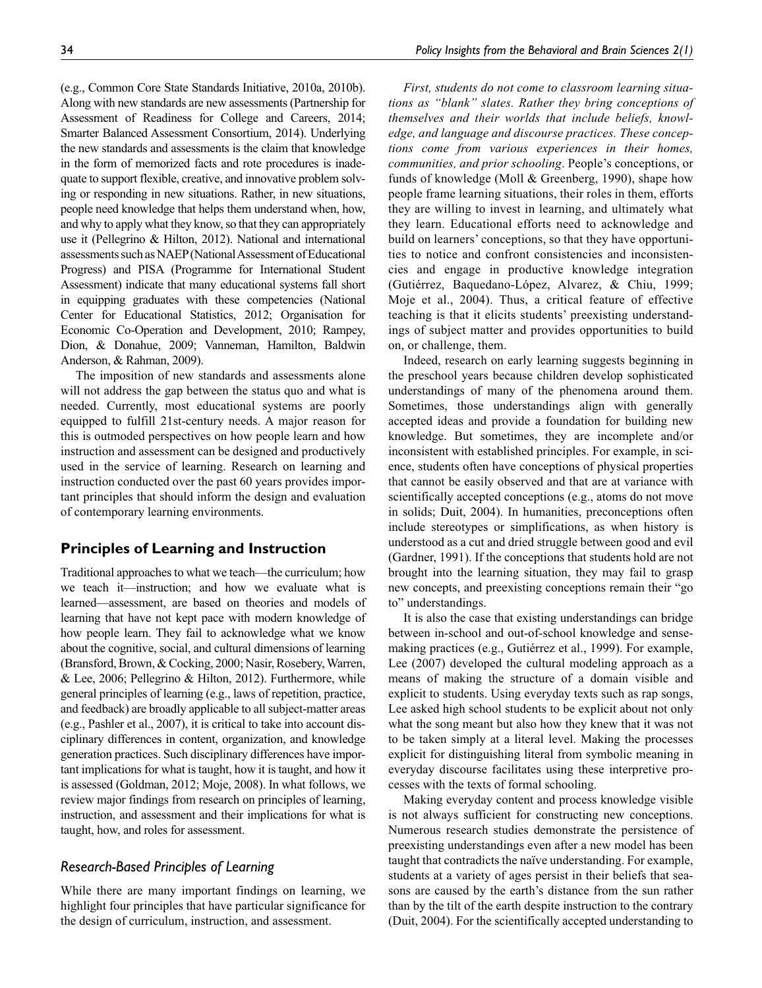(e.g., Common Core State Standards Initiative, 2010a, 2010b). Along with new standards are new assessments (Partnership for Assessment of Readiness for College and Careers, 2014; Smarter Balanced Assessment Consortium, 2014). Underlying the new standards and assessments is the claim that knowledge in the form of memorized facts and rote procedures is inadequate to support flexible, creative, and innovative problem solving or responding in new situations. Rather, in new situations, people need knowledge that helps them understand when, how, and why to apply what they know, so that they can appropriately use it (Pellegrino & Hilton, 2012). National and international assessments such as NAEP (National Assessment of Educational Progress) and PISA (Programme for International Student Assessment) indicate that many educational systems fall short in equipping graduates with these competencies (National Center for Educational Statistics, 2012; Organisation for Economic Co-Operation and Development, 2010; Rampey, Dion, & Donahue, 2009; Vanneman, Hamilton, Baldwin Anderson, & Rahman, 2009).

The imposition of new standards and assessments alone will not address the gap between the status quo and what is needed. Currently, most educational systems are poorly equipped to fulfill 21st-century needs. A major reason for this is outmoded perspectives on how people learn and how instruction and assessment can be designed and productively used in the service of learning. Research on learning and instruction conducted over the past 60 years provides important principles that should inform the design and evaluation of contemporary learning environments.

## **Principles of Learning and Instruction**

Traditional approaches to what we teach—the curriculum; how we teach it—instruction; and how we evaluate what is learned—assessment, are based on theories and models of learning that have not kept pace with modern knowledge of how people learn. They fail to acknowledge what we know about the cognitive, social, and cultural dimensions of learning (Bransford, Brown, & Cocking, 2000; Nasir, Rosebery, Warren, & Lee, 2006; Pellegrino & Hilton, 2012). Furthermore, while general principles of learning (e.g., laws of repetition, practice, and feedback) are broadly applicable to all subject-matter areas (e.g., Pashler et al., 2007), it is critical to take into account disciplinary differences in content, organization, and knowledge generation practices. Such disciplinary differences have important implications for what is taught, how it is taught, and how it is assessed (Goldman, 2012; Moje, 2008). In what follows, we review major findings from research on principles of learning, instruction, and assessment and their implications for what is taught, how, and roles for assessment.

## *Research-Based Principles of Learning*

While there are many important findings on learning, we highlight four principles that have particular significance for the design of curriculum, instruction, and assessment.

*First, students do not come to classroom learning situations as "blank" slates. Rather they bring conceptions of themselves and their worlds that include beliefs, knowledge, and language and discourse practices. These conceptions come from various experiences in their homes, communities, and prior schooling*. People's conceptions, or funds of knowledge (Moll & Greenberg, 1990), shape how people frame learning situations, their roles in them, efforts they are willing to invest in learning, and ultimately what they learn. Educational efforts need to acknowledge and build on learners' conceptions, so that they have opportunities to notice and confront consistencies and inconsistencies and engage in productive knowledge integration (Gutiérrez, Baquedano-López, Alvarez, & Chiu, 1999; Moje et al., 2004). Thus, a critical feature of effective teaching is that it elicits students' preexisting understandings of subject matter and provides opportunities to build on, or challenge, them.

Indeed, research on early learning suggests beginning in the preschool years because children develop sophisticated understandings of many of the phenomena around them. Sometimes, those understandings align with generally accepted ideas and provide a foundation for building new knowledge. But sometimes, they are incomplete and/or inconsistent with established principles. For example, in science, students often have conceptions of physical properties that cannot be easily observed and that are at variance with scientifically accepted conceptions (e.g., atoms do not move in solids; Duit, 2004). In humanities, preconceptions often include stereotypes or simplifications, as when history is understood as a cut and dried struggle between good and evil (Gardner, 1991). If the conceptions that students hold are not brought into the learning situation, they may fail to grasp new concepts, and preexisting conceptions remain their "go to" understandings.

It is also the case that existing understandings can bridge between in-school and out-of-school knowledge and sensemaking practices (e.g., Gutiérrez et al., 1999). For example, Lee (2007) developed the cultural modeling approach as a means of making the structure of a domain visible and explicit to students. Using everyday texts such as rap songs, Lee asked high school students to be explicit about not only what the song meant but also how they knew that it was not to be taken simply at a literal level. Making the processes explicit for distinguishing literal from symbolic meaning in everyday discourse facilitates using these interpretive processes with the texts of formal schooling.

Making everyday content and process knowledge visible is not always sufficient for constructing new conceptions. Numerous research studies demonstrate the persistence of preexisting understandings even after a new model has been taught that contradicts the naïve understanding. For example, students at a variety of ages persist in their beliefs that seasons are caused by the earth's distance from the sun rather than by the tilt of the earth despite instruction to the contrary (Duit, 2004). For the scientifically accepted understanding to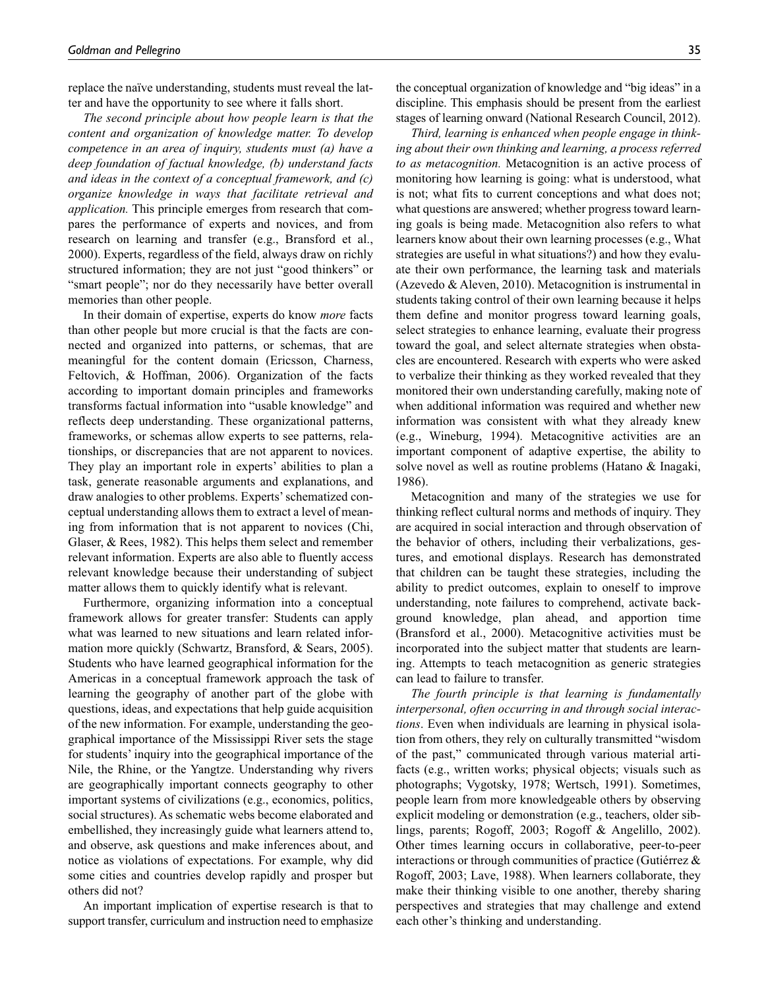replace the naïve understanding, students must reveal the latter and have the opportunity to see where it falls short.

*The second principle about how people learn is that the content and organization of knowledge matter. To develop competence in an area of inquiry, students must (a) have a deep foundation of factual knowledge, (b) understand facts and ideas in the context of a conceptual framework, and (c) organize knowledge in ways that facilitate retrieval and application.* This principle emerges from research that compares the performance of experts and novices, and from research on learning and transfer (e.g., Bransford et al., 2000). Experts, regardless of the field, always draw on richly structured information; they are not just "good thinkers" or "smart people"; nor do they necessarily have better overall memories than other people.

In their domain of expertise, experts do know *more* facts than other people but more crucial is that the facts are connected and organized into patterns, or schemas, that are meaningful for the content domain (Ericsson, Charness, Feltovich, & Hoffman, 2006). Organization of the facts according to important domain principles and frameworks transforms factual information into "usable knowledge" and reflects deep understanding. These organizational patterns, frameworks, or schemas allow experts to see patterns, relationships, or discrepancies that are not apparent to novices. They play an important role in experts' abilities to plan a task, generate reasonable arguments and explanations, and draw analogies to other problems. Experts' schematized conceptual understanding allows them to extract a level of meaning from information that is not apparent to novices (Chi, Glaser, & Rees, 1982). This helps them select and remember relevant information. Experts are also able to fluently access relevant knowledge because their understanding of subject matter allows them to quickly identify what is relevant.

Furthermore, organizing information into a conceptual framework allows for greater transfer: Students can apply what was learned to new situations and learn related information more quickly (Schwartz, Bransford, & Sears, 2005). Students who have learned geographical information for the Americas in a conceptual framework approach the task of learning the geography of another part of the globe with questions, ideas, and expectations that help guide acquisition of the new information. For example, understanding the geographical importance of the Mississippi River sets the stage for students' inquiry into the geographical importance of the Nile, the Rhine, or the Yangtze. Understanding why rivers are geographically important connects geography to other important systems of civilizations (e.g., economics, politics, social structures). As schematic webs become elaborated and embellished, they increasingly guide what learners attend to, and observe, ask questions and make inferences about, and notice as violations of expectations. For example, why did some cities and countries develop rapidly and prosper but others did not?

An important implication of expertise research is that to support transfer, curriculum and instruction need to emphasize the conceptual organization of knowledge and "big ideas" in a discipline. This emphasis should be present from the earliest stages of learning onward (National Research Council, 2012).

*Third, learning is enhanced when people engage in thinking about their own thinking and learning, a process referred to as metacognition.* Metacognition is an active process of monitoring how learning is going: what is understood, what is not; what fits to current conceptions and what does not; what questions are answered; whether progress toward learning goals is being made. Metacognition also refers to what learners know about their own learning processes (e.g., What strategies are useful in what situations?) and how they evaluate their own performance, the learning task and materials (Azevedo & Aleven, 2010). Metacognition is instrumental in students taking control of their own learning because it helps them define and monitor progress toward learning goals, select strategies to enhance learning, evaluate their progress toward the goal, and select alternate strategies when obstacles are encountered. Research with experts who were asked to verbalize their thinking as they worked revealed that they monitored their own understanding carefully, making note of when additional information was required and whether new information was consistent with what they already knew (e.g., Wineburg, 1994). Metacognitive activities are an important component of adaptive expertise, the ability to solve novel as well as routine problems (Hatano & Inagaki, 1986).

Metacognition and many of the strategies we use for thinking reflect cultural norms and methods of inquiry. They are acquired in social interaction and through observation of the behavior of others, including their verbalizations, gestures, and emotional displays. Research has demonstrated that children can be taught these strategies, including the ability to predict outcomes, explain to oneself to improve understanding, note failures to comprehend, activate background knowledge, plan ahead, and apportion time (Bransford et al., 2000). Metacognitive activities must be incorporated into the subject matter that students are learning. Attempts to teach metacognition as generic strategies can lead to failure to transfer.

*The fourth principle is that learning is fundamentally interpersonal, often occurring in and through social interactions*. Even when individuals are learning in physical isolation from others, they rely on culturally transmitted "wisdom of the past," communicated through various material artifacts (e.g., written works; physical objects; visuals such as photographs; Vygotsky, 1978; Wertsch, 1991). Sometimes, people learn from more knowledgeable others by observing explicit modeling or demonstration (e.g., teachers, older siblings, parents; Rogoff, 2003; Rogoff & Angelillo, 2002). Other times learning occurs in collaborative, peer-to-peer interactions or through communities of practice (Gutiérrez & Rogoff, 2003; Lave, 1988). When learners collaborate, they make their thinking visible to one another, thereby sharing perspectives and strategies that may challenge and extend each other's thinking and understanding.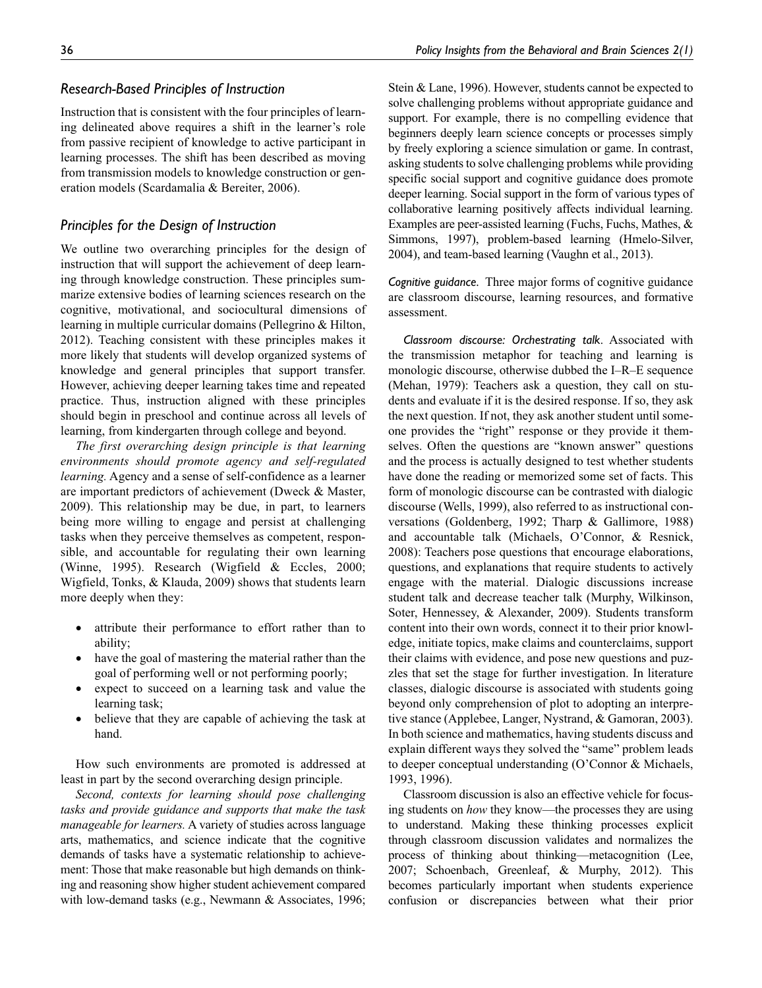### *Research-Based Principles of Instruction*

Instruction that is consistent with the four principles of learning delineated above requires a shift in the learner's role from passive recipient of knowledge to active participant in learning processes. The shift has been described as moving from transmission models to knowledge construction or generation models (Scardamalia & Bereiter, 2006).

#### *Principles for the Design of Instruction*

We outline two overarching principles for the design of instruction that will support the achievement of deep learning through knowledge construction. These principles summarize extensive bodies of learning sciences research on the cognitive, motivational, and sociocultural dimensions of learning in multiple curricular domains (Pellegrino & Hilton, 2012). Teaching consistent with these principles makes it more likely that students will develop organized systems of knowledge and general principles that support transfer. However, achieving deeper learning takes time and repeated practice. Thus, instruction aligned with these principles should begin in preschool and continue across all levels of learning, from kindergarten through college and beyond.

*The first overarching design principle is that learning environments should promote agency and self-regulated learning.* Agency and a sense of self-confidence as a learner are important predictors of achievement (Dweck & Master, 2009). This relationship may be due, in part, to learners being more willing to engage and persist at challenging tasks when they perceive themselves as competent, responsible, and accountable for regulating their own learning (Winne, 1995). Research (Wigfield & Eccles, 2000; Wigfield, Tonks, & Klauda, 2009) shows that students learn more deeply when they:

- attribute their performance to effort rather than to ability;
- have the goal of mastering the material rather than the goal of performing well or not performing poorly;
- expect to succeed on a learning task and value the learning task;
- believe that they are capable of achieving the task at hand.

How such environments are promoted is addressed at least in part by the second overarching design principle.

*Second, contexts for learning should pose challenging tasks and provide guidance and supports that make the task manageable for learners.* A variety of studies across language arts, mathematics, and science indicate that the cognitive demands of tasks have a systematic relationship to achievement: Those that make reasonable but high demands on thinking and reasoning show higher student achievement compared with low-demand tasks (e.g., Newmann & Associates, 1996;

Stein & Lane, 1996). However, students cannot be expected to solve challenging problems without appropriate guidance and support. For example, there is no compelling evidence that beginners deeply learn science concepts or processes simply by freely exploring a science simulation or game. In contrast, asking students to solve challenging problems while providing specific social support and cognitive guidance does promote deeper learning. Social support in the form of various types of collaborative learning positively affects individual learning. Examples are peer-assisted learning (Fuchs, Fuchs, Mathes, & Simmons, 1997), problem-based learning (Hmelo-Silver, 2004), and team-based learning (Vaughn et al., 2013).

*Cognitive guidance.* Three major forms of cognitive guidance are classroom discourse, learning resources, and formative assessment.

*Classroom discourse: Orchestrating talk*. Associated with the transmission metaphor for teaching and learning is monologic discourse, otherwise dubbed the I–R–E sequence (Mehan, 1979): Teachers ask a question, they call on students and evaluate if it is the desired response. If so, they ask the next question. If not, they ask another student until someone provides the "right" response or they provide it themselves. Often the questions are "known answer" questions and the process is actually designed to test whether students have done the reading or memorized some set of facts. This form of monologic discourse can be contrasted with dialogic discourse (Wells, 1999), also referred to as instructional conversations (Goldenberg, 1992; Tharp & Gallimore, 1988) and accountable talk (Michaels, O'Connor, & Resnick, 2008): Teachers pose questions that encourage elaborations, questions, and explanations that require students to actively engage with the material. Dialogic discussions increase student talk and decrease teacher talk (Murphy, Wilkinson, Soter, Hennessey, & Alexander, 2009). Students transform content into their own words, connect it to their prior knowledge, initiate topics, make claims and counterclaims, support their claims with evidence, and pose new questions and puzzles that set the stage for further investigation. In literature classes, dialogic discourse is associated with students going beyond only comprehension of plot to adopting an interpretive stance (Applebee, Langer, Nystrand, & Gamoran, 2003). In both science and mathematics, having students discuss and explain different ways they solved the "same" problem leads to deeper conceptual understanding (O'Connor & Michaels, 1993, 1996).

Classroom discussion is also an effective vehicle for focusing students on *how* they know—the processes they are using to understand. Making these thinking processes explicit through classroom discussion validates and normalizes the process of thinking about thinking—metacognition (Lee, 2007; Schoenbach, Greenleaf, & Murphy, 2012). This becomes particularly important when students experience confusion or discrepancies between what their prior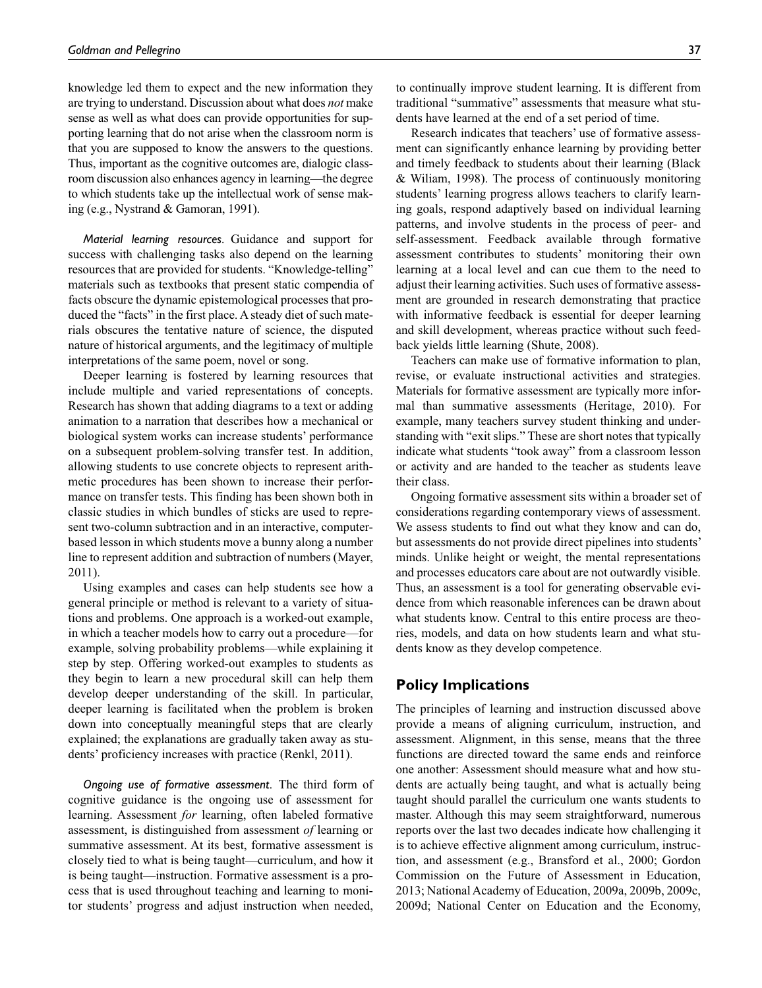knowledge led them to expect and the new information they are trying to understand. Discussion about what does *not* make sense as well as what does can provide opportunities for supporting learning that do not arise when the classroom norm is that you are supposed to know the answers to the questions. Thus, important as the cognitive outcomes are, dialogic classroom discussion also enhances agency in learning—the degree to which students take up the intellectual work of sense making (e.g., Nystrand & Gamoran, 1991).

*Material learning resources*. Guidance and support for success with challenging tasks also depend on the learning resources that are provided for students. "Knowledge-telling" materials such as textbooks that present static compendia of facts obscure the dynamic epistemological processes that produced the "facts" in the first place. A steady diet of such materials obscures the tentative nature of science, the disputed nature of historical arguments, and the legitimacy of multiple interpretations of the same poem, novel or song.

Deeper learning is fostered by learning resources that include multiple and varied representations of concepts. Research has shown that adding diagrams to a text or adding animation to a narration that describes how a mechanical or biological system works can increase students' performance on a subsequent problem-solving transfer test. In addition, allowing students to use concrete objects to represent arithmetic procedures has been shown to increase their performance on transfer tests. This finding has been shown both in classic studies in which bundles of sticks are used to represent two-column subtraction and in an interactive, computerbased lesson in which students move a bunny along a number line to represent addition and subtraction of numbers (Mayer, 2011).

Using examples and cases can help students see how a general principle or method is relevant to a variety of situations and problems. One approach is a worked-out example, in which a teacher models how to carry out a procedure—for example, solving probability problems—while explaining it step by step. Offering worked-out examples to students as they begin to learn a new procedural skill can help them develop deeper understanding of the skill. In particular, deeper learning is facilitated when the problem is broken down into conceptually meaningful steps that are clearly explained; the explanations are gradually taken away as students' proficiency increases with practice (Renkl, 2011).

*Ongoing use of formative assessment*. The third form of cognitive guidance is the ongoing use of assessment for learning. Assessment *for* learning, often labeled formative assessment, is distinguished from assessment *of* learning or summative assessment. At its best, formative assessment is closely tied to what is being taught—curriculum, and how it is being taught—instruction. Formative assessment is a process that is used throughout teaching and learning to monitor students' progress and adjust instruction when needed,

to continually improve student learning. It is different from traditional "summative" assessments that measure what students have learned at the end of a set period of time.

Research indicates that teachers' use of formative assessment can significantly enhance learning by providing better and timely feedback to students about their learning (Black & Wiliam, 1998). The process of continuously monitoring students' learning progress allows teachers to clarify learning goals, respond adaptively based on individual learning patterns, and involve students in the process of peer- and self-assessment. Feedback available through formative assessment contributes to students' monitoring their own learning at a local level and can cue them to the need to adjust their learning activities. Such uses of formative assessment are grounded in research demonstrating that practice with informative feedback is essential for deeper learning and skill development, whereas practice without such feedback yields little learning (Shute, 2008).

Teachers can make use of formative information to plan, revise, or evaluate instructional activities and strategies. Materials for formative assessment are typically more informal than summative assessments (Heritage, 2010). For example, many teachers survey student thinking and understanding with "exit slips." These are short notes that typically indicate what students "took away" from a classroom lesson or activity and are handed to the teacher as students leave their class.

Ongoing formative assessment sits within a broader set of considerations regarding contemporary views of assessment. We assess students to find out what they know and can do, but assessments do not provide direct pipelines into students' minds. Unlike height or weight, the mental representations and processes educators care about are not outwardly visible. Thus, an assessment is a tool for generating observable evidence from which reasonable inferences can be drawn about what students know. Central to this entire process are theories, models, and data on how students learn and what students know as they develop competence.

## **Policy Implications**

The principles of learning and instruction discussed above provide a means of aligning curriculum, instruction, and assessment. Alignment, in this sense, means that the three functions are directed toward the same ends and reinforce one another: Assessment should measure what and how students are actually being taught, and what is actually being taught should parallel the curriculum one wants students to master. Although this may seem straightforward, numerous reports over the last two decades indicate how challenging it is to achieve effective alignment among curriculum, instruction, and assessment (e.g., Bransford et al., 2000; Gordon Commission on the Future of Assessment in Education, 2013; National Academy of Education, 2009a, 2009b, 2009c, 2009d; National Center on Education and the Economy,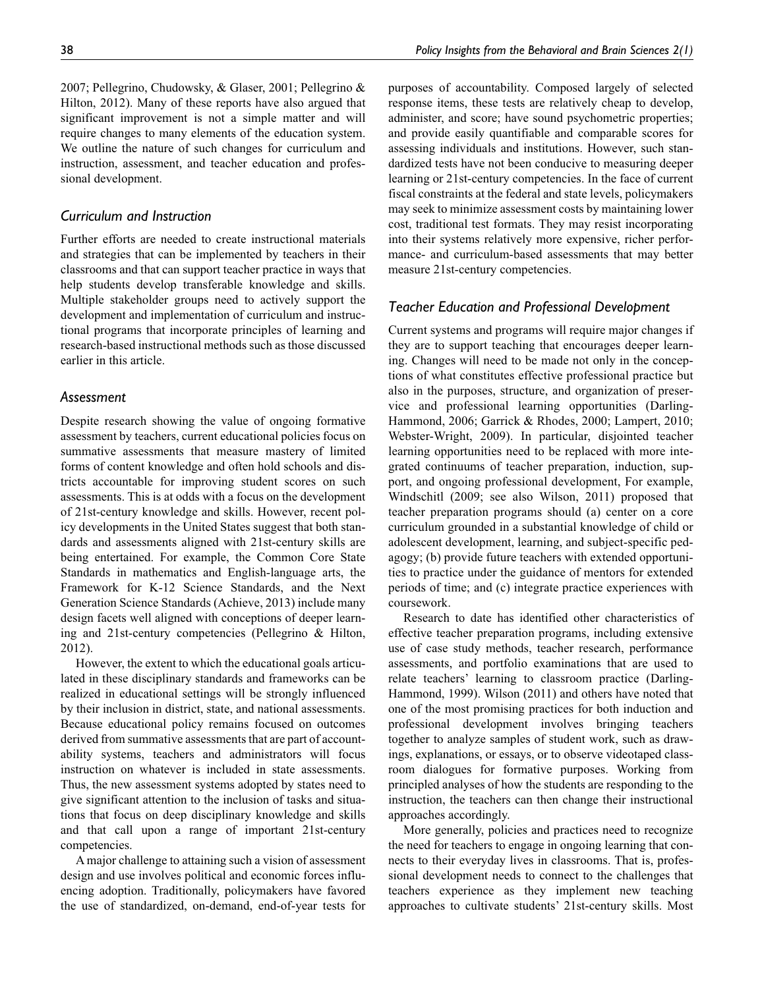2007; Pellegrino, Chudowsky, & Glaser, 2001; Pellegrino & Hilton, 2012). Many of these reports have also argued that significant improvement is not a simple matter and will require changes to many elements of the education system. We outline the nature of such changes for curriculum and instruction, assessment, and teacher education and professional development.

## *Curriculum and Instruction*

Further efforts are needed to create instructional materials and strategies that can be implemented by teachers in their classrooms and that can support teacher practice in ways that help students develop transferable knowledge and skills. Multiple stakeholder groups need to actively support the development and implementation of curriculum and instructional programs that incorporate principles of learning and research-based instructional methods such as those discussed earlier in this article.

## *Assessment*

Despite research showing the value of ongoing formative assessment by teachers, current educational policies focus on summative assessments that measure mastery of limited forms of content knowledge and often hold schools and districts accountable for improving student scores on such assessments. This is at odds with a focus on the development of 21st-century knowledge and skills. However, recent policy developments in the United States suggest that both standards and assessments aligned with 21st-century skills are being entertained. For example, the Common Core State Standards in mathematics and English-language arts, the Framework for K-12 Science Standards, and the Next Generation Science Standards (Achieve, 2013) include many design facets well aligned with conceptions of deeper learning and 21st-century competencies (Pellegrino & Hilton, 2012).

However, the extent to which the educational goals articulated in these disciplinary standards and frameworks can be realized in educational settings will be strongly influenced by their inclusion in district, state, and national assessments. Because educational policy remains focused on outcomes derived from summative assessments that are part of accountability systems, teachers and administrators will focus instruction on whatever is included in state assessments. Thus, the new assessment systems adopted by states need to give significant attention to the inclusion of tasks and situations that focus on deep disciplinary knowledge and skills and that call upon a range of important 21st-century competencies.

A major challenge to attaining such a vision of assessment design and use involves political and economic forces influencing adoption. Traditionally, policymakers have favored the use of standardized, on-demand, end-of-year tests for purposes of accountability. Composed largely of selected response items, these tests are relatively cheap to develop, administer, and score; have sound psychometric properties; and provide easily quantifiable and comparable scores for assessing individuals and institutions. However, such standardized tests have not been conducive to measuring deeper learning or 21st-century competencies. In the face of current fiscal constraints at the federal and state levels, policymakers may seek to minimize assessment costs by maintaining lower cost, traditional test formats. They may resist incorporating into their systems relatively more expensive, richer performance- and curriculum-based assessments that may better measure 21st-century competencies.

#### *Teacher Education and Professional Development*

Current systems and programs will require major changes if they are to support teaching that encourages deeper learning. Changes will need to be made not only in the conceptions of what constitutes effective professional practice but also in the purposes, structure, and organization of preservice and professional learning opportunities (Darling-Hammond, 2006; Garrick & Rhodes, 2000; Lampert, 2010; Webster-Wright, 2009). In particular, disjointed teacher learning opportunities need to be replaced with more integrated continuums of teacher preparation, induction, support, and ongoing professional development, For example, Windschitl (2009; see also Wilson, 2011) proposed that teacher preparation programs should (a) center on a core curriculum grounded in a substantial knowledge of child or adolescent development, learning, and subject-specific pedagogy; (b) provide future teachers with extended opportunities to practice under the guidance of mentors for extended periods of time; and (c) integrate practice experiences with coursework.

Research to date has identified other characteristics of effective teacher preparation programs, including extensive use of case study methods, teacher research, performance assessments, and portfolio examinations that are used to relate teachers' learning to classroom practice (Darling-Hammond, 1999). Wilson (2011) and others have noted that one of the most promising practices for both induction and professional development involves bringing teachers together to analyze samples of student work, such as drawings, explanations, or essays, or to observe videotaped classroom dialogues for formative purposes. Working from principled analyses of how the students are responding to the instruction, the teachers can then change their instructional approaches accordingly.

More generally, policies and practices need to recognize the need for teachers to engage in ongoing learning that connects to their everyday lives in classrooms. That is, professional development needs to connect to the challenges that teachers experience as they implement new teaching approaches to cultivate students' 21st-century skills. Most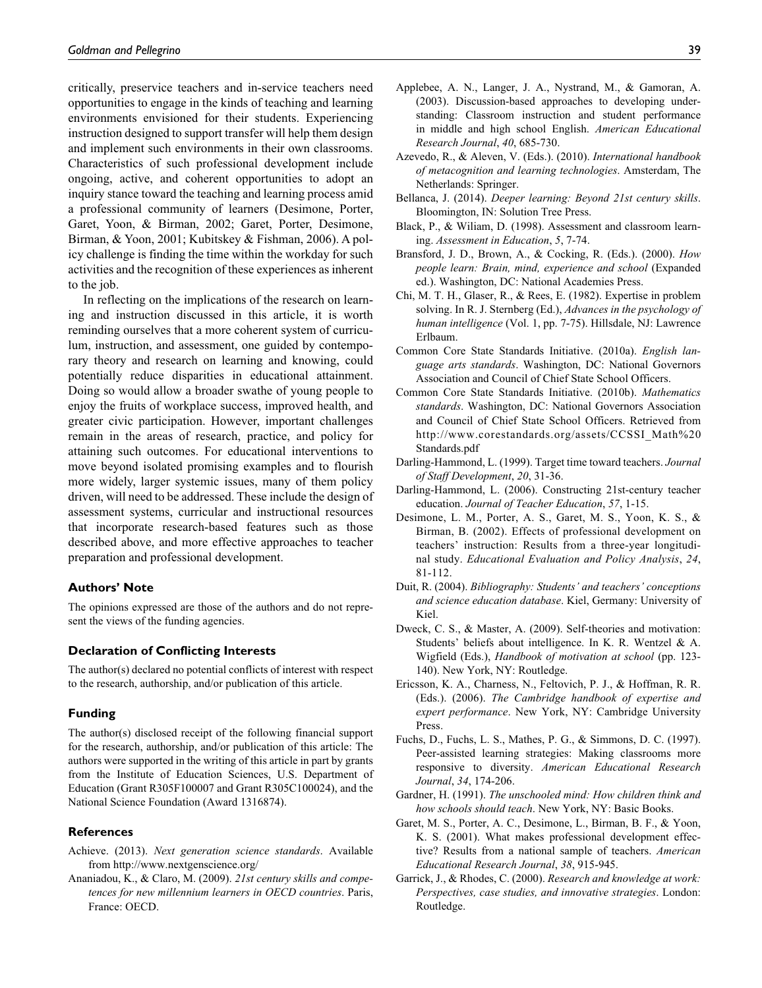critically, preservice teachers and in-service teachers need opportunities to engage in the kinds of teaching and learning environments envisioned for their students. Experiencing instruction designed to support transfer will help them design and implement such environments in their own classrooms. Characteristics of such professional development include ongoing, active, and coherent opportunities to adopt an inquiry stance toward the teaching and learning process amid a professional community of learners (Desimone, Porter, Garet, Yoon, & Birman, 2002; Garet, Porter, Desimone, Birman, & Yoon, 2001; Kubitskey & Fishman, 2006). A policy challenge is finding the time within the workday for such activities and the recognition of these experiences as inherent to the job.

In reflecting on the implications of the research on learning and instruction discussed in this article, it is worth reminding ourselves that a more coherent system of curriculum, instruction, and assessment, one guided by contemporary theory and research on learning and knowing, could potentially reduce disparities in educational attainment. Doing so would allow a broader swathe of young people to enjoy the fruits of workplace success, improved health, and greater civic participation. However, important challenges remain in the areas of research, practice, and policy for attaining such outcomes. For educational interventions to move beyond isolated promising examples and to flourish more widely, larger systemic issues, many of them policy driven, will need to be addressed. These include the design of assessment systems, curricular and instructional resources that incorporate research-based features such as those described above, and more effective approaches to teacher preparation and professional development.

#### **Authors' Note**

The opinions expressed are those of the authors and do not represent the views of the funding agencies.

#### **Declaration of Conflicting Interests**

The author(s) declared no potential conflicts of interest with respect to the research, authorship, and/or publication of this article.

#### **Funding**

The author(s) disclosed receipt of the following financial support for the research, authorship, and/or publication of this article: The authors were supported in the writing of this article in part by grants from the Institute of Education Sciences, U.S. Department of Education (Grant R305F100007 and Grant R305C100024), and the National Science Foundation (Award 1316874).

#### **References**

- Achieve. (2013). *Next generation science standards*. Available from <http://www.nextgenscience.org/>
- Ananiadou, K., & Claro, M. (2009). *21st century skills and competences for new millennium learners in OECD countries*. Paris, France: OECD.
- Applebee, A. N., Langer, J. A., Nystrand, M., & Gamoran, A. (2003). Discussion-based approaches to developing understanding: Classroom instruction and student performance in middle and high school English. *American Educational Research Journal*, *40*, 685-730.
- Azevedo, R., & Aleven, V. (Eds.). (2010). *International handbook of metacognition and learning technologies*. Amsterdam, The Netherlands: Springer.
- Bellanca, J. (2014). *Deeper learning: Beyond 21st century skills*. Bloomington, IN: Solution Tree Press.
- Black, P., & Wiliam, D. (1998). Assessment and classroom learning. *Assessment in Education*, *5*, 7-74.
- Bransford, J. D., Brown, A., & Cocking, R. (Eds.). (2000). *How people learn: Brain, mind, experience and school* (Expanded ed.). Washington, DC: National Academies Press.
- Chi, M. T. H., Glaser, R., & Rees, E. (1982). Expertise in problem solving. In R. J. Sternberg (Ed.), *Advances in the psychology of human intelligence* (Vol. 1, pp. 7-75). Hillsdale, NJ: Lawrence Erlbaum.
- Common Core State Standards Initiative. (2010a). *English language arts standards*. Washington, DC: National Governors Association and Council of Chief State School Officers.
- Common Core State Standards Initiative. (2010b). *Mathematics standards*. Washington, DC: National Governors Association and Council of Chief State School Officers. Retrieved from [http://www.corestandards.org/assets/CCSSI\\_Math%20](http://www.corestandards.org/assets/CCSSI_Math%20Standards.pdf) [Standards.pdf](http://www.corestandards.org/assets/CCSSI_Math%20Standards.pdf)
- Darling-Hammond, L. (1999). Target time toward teachers. *Journal of Staff Development*, *20*, 31-36.
- Darling-Hammond, L. (2006). Constructing 21st-century teacher education. *Journal of Teacher Education*, *57*, 1-15.
- Desimone, L. M., Porter, A. S., Garet, M. S., Yoon, K. S., & Birman, B. (2002). Effects of professional development on teachers' instruction: Results from a three-year longitudinal study. *Educational Evaluation and Policy Analysis*, *24*, 81-112.
- Duit, R. (2004). *Bibliography: Students' and teachers' conceptions and science education database*. Kiel, Germany: University of Kiel.
- Dweck, C. S., & Master, A. (2009). Self-theories and motivation: Students' beliefs about intelligence. In K. R. Wentzel & A. Wigfield (Eds.), *Handbook of motivation at school* (pp. 123- 140). New York, NY: Routledge.
- Ericsson, K. A., Charness, N., Feltovich, P. J., & Hoffman, R. R. (Eds.). (2006). *The Cambridge handbook of expertise and expert performance*. New York, NY: Cambridge University Press.
- Fuchs, D., Fuchs, L. S., Mathes, P. G., & Simmons, D. C. (1997). Peer-assisted learning strategies: Making classrooms more responsive to diversity. *American Educational Research Journal*, *34*, 174-206.
- Gardner, H. (1991). *The unschooled mind: How children think and how schools should teach*. New York, NY: Basic Books.
- Garet, M. S., Porter, A. C., Desimone, L., Birman, B. F., & Yoon, K. S. (2001). What makes professional development effective? Results from a national sample of teachers. *American Educational Research Journal*, *38*, 915-945.
- Garrick, J., & Rhodes, C. (2000). *Research and knowledge at work: Perspectives, case studies, and innovative strategies*. London: Routledge.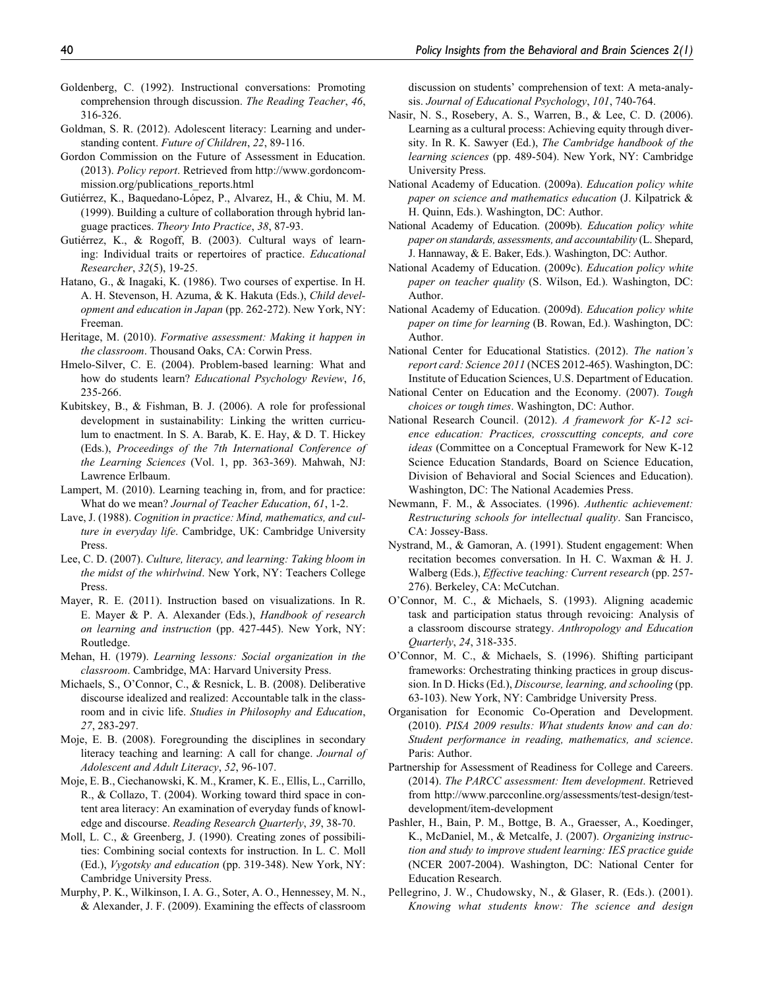- Goldenberg, C. (1992). Instructional conversations: Promoting comprehension through discussion. *The Reading Teacher*, *46*, 316-326.
- Goldman, S. R. (2012). Adolescent literacy: Learning and understanding content. *Future of Children*, *22*, 89-116.
- Gordon Commission on the Future of Assessment in Education. (2013). *Policy report*. Retrieved from [http://www.gordoncom](http://www.gordoncommission.org/publications_reports.html)[mission.org/publications\\_reports.html](http://www.gordoncommission.org/publications_reports.html)
- Gutiérrez, K., Baquedano-López, P., Alvarez, H., & Chiu, M. M. (1999). Building a culture of collaboration through hybrid language practices. *Theory Into Practice*, *38*, 87-93.
- Gutiérrez, K., & Rogoff, B. (2003). Cultural ways of learning: Individual traits or repertoires of practice. *Educational Researcher*, *32*(5), 19-25.
- Hatano, G., & Inagaki, K. (1986). Two courses of expertise. In H. A. H. Stevenson, H. Azuma, & K. Hakuta (Eds.), *Child development and education in Japan* (pp. 262-272). New York, NY: Freeman.
- Heritage, M. (2010). *Formative assessment: Making it happen in the classroom*. Thousand Oaks, CA: Corwin Press.
- Hmelo-Silver, C. E. (2004). Problem-based learning: What and how do students learn? *Educational Psychology Review*, *16*, 235-266.
- Kubitskey, B., & Fishman, B. J. (2006). A role for professional development in sustainability: Linking the written curriculum to enactment. In S. A. Barab, K. E. Hay, & D. T. Hickey (Eds.), *Proceedings of the 7th International Conference of the Learning Sciences* (Vol. 1, pp. 363-369). Mahwah, NJ: Lawrence Erlbaum.
- Lampert, M. (2010). Learning teaching in, from, and for practice: What do we mean? *Journal of Teacher Education*, *61*, 1-2.
- Lave, J. (1988). *Cognition in practice: Mind, mathematics, and culture in everyday life*. Cambridge, UK: Cambridge University Press.
- Lee, C. D. (2007). *Culture, literacy, and learning: Taking bloom in the midst of the whirlwind*. New York, NY: Teachers College Press.
- Mayer, R. E. (2011). Instruction based on visualizations. In R. E. Mayer & P. A. Alexander (Eds.), *Handbook of research on learning and instruction* (pp. 427-445). New York, NY: Routledge.
- Mehan, H. (1979). *Learning lessons: Social organization in the classroom*. Cambridge, MA: Harvard University Press.
- Michaels, S., O'Connor, C., & Resnick, L. B. (2008). Deliberative discourse idealized and realized: Accountable talk in the classroom and in civic life. *Studies in Philosophy and Education*, *27*, 283-297.
- Moje, E. B. (2008). Foregrounding the disciplines in secondary literacy teaching and learning: A call for change. *Journal of Adolescent and Adult Literacy*, *52*, 96-107.
- Moje, E. B., Ciechanowski, K. M., Kramer, K. E., Ellis, L., Carrillo, R., & Collazo, T. (2004). Working toward third space in content area literacy: An examination of everyday funds of knowledge and discourse. *Reading Research Quarterly*, *39*, 38-70.
- Moll, L. C., & Greenberg, J. (1990). Creating zones of possibilities: Combining social contexts for instruction. In L. C. Moll (Ed.), *Vygotsky and education* (pp. 319-348). New York, NY: Cambridge University Press.
- Murphy, P. K., Wilkinson, I. A. G., Soter, A. O., Hennessey, M. N., & Alexander, J. F. (2009). Examining the effects of classroom

discussion on students' comprehension of text: A meta-analysis. *Journal of Educational Psychology*, *101*, 740-764.

- Nasir, N. S., Rosebery, A. S., Warren, B., & Lee, C. D. (2006). Learning as a cultural process: Achieving equity through diversity. In R. K. Sawyer (Ed.), *The Cambridge handbook of the learning sciences* (pp. 489-504). New York, NY: Cambridge University Press.
- National Academy of Education. (2009a). *Education policy white paper on science and mathematics education* (J. Kilpatrick & H. Quinn, Eds.). Washington, DC: Author.
- National Academy of Education. (2009b). *Education policy white paper on standards, assessments, and accountability* (L. Shepard, J. Hannaway, & E. Baker, Eds.). Washington, DC: Author.
- National Academy of Education. (2009c). *Education policy white paper on teacher quality* (S. Wilson, Ed.). Washington, DC: Author.
- National Academy of Education. (2009d). *Education policy white paper on time for learning* (B. Rowan, Ed.). Washington, DC: Author.
- National Center for Educational Statistics. (2012). *The nation's report card: Science 2011* (NCES 2012-465). Washington, DC: Institute of Education Sciences, U.S. Department of Education.
- National Center on Education and the Economy. (2007). *Tough choices or tough times*. Washington, DC: Author.
- National Research Council. (2012). *A framework for K-12 science education: Practices, crosscutting concepts, and core ideas* (Committee on a Conceptual Framework for New K-12 Science Education Standards, Board on Science Education, Division of Behavioral and Social Sciences and Education). Washington, DC: The National Academies Press.
- Newmann, F. M., & Associates. (1996). *Authentic achievement: Restructuring schools for intellectual quality*. San Francisco, CA: Jossey-Bass.
- Nystrand, M., & Gamoran, A. (1991). Student engagement: When recitation becomes conversation. In H. C. Waxman & H. J. Walberg (Eds.), *Effective teaching: Current research* (pp. 257- 276). Berkeley, CA: McCutchan.
- O'Connor, M. C., & Michaels, S. (1993). Aligning academic task and participation status through revoicing: Analysis of a classroom discourse strategy. *Anthropology and Education Quarterly*, *24*, 318-335.
- O'Connor, M. C., & Michaels, S. (1996). Shifting participant frameworks: Orchestrating thinking practices in group discussion. In D. Hicks (Ed.), *Discourse, learning, and schooling* (pp. 63-103). New York, NY: Cambridge University Press.
- Organisation for Economic Co-Operation and Development. (2010). *PISA 2009 results: What students know and can do: Student performance in reading, mathematics, and science*. Paris: Author.
- Partnership for Assessment of Readiness for College and Careers. (2014). *The PARCC assessment: Item development*. Retrieved from [http://www.parcconline.org/assessments/test-design/test](http://www.parcconline.org/assessments/test-design/test-development/item-development)[development/item-development](http://www.parcconline.org/assessments/test-design/test-development/item-development)
- Pashler, H., Bain, P. M., Bottge, B. A., Graesser, A., Koedinger, K., McDaniel, M., & Metcalfe, J. (2007). *Organizing instruction and study to improve student learning: IES practice guide* (NCER 2007-2004). Washington, DC: National Center for Education Research.
- Pellegrino, J. W., Chudowsky, N., & Glaser, R. (Eds.). (2001). *Knowing what students know: The science and design*